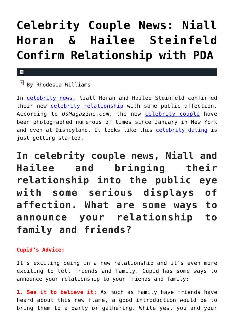# **[Celebrity Couple News: Niall](https://cupidspulse.com/126316/celebrity-couple-news-niall-horan-hailee-steinfeld-confirm-relationship/) [Horan & Hailee Steinfeld](https://cupidspulse.com/126316/celebrity-couple-news-niall-horan-hailee-steinfeld-confirm-relationship/) [Confirm Relationship with PDA](https://cupidspulse.com/126316/celebrity-couple-news-niall-horan-hailee-steinfeld-confirm-relationship/)**

#### x

 $\boxed{\times}$  By Rhodesia Williams

In [celebrity news,](http://www.cupidspulse.com) Niall Horan and Hailee Steinfeld confirmed their new [celebrity relationship](http://cupidspulse.com/celebrity-relationships/) with some public affection. According to *UsMagazine.com*, the new [celebrity couple](http://cupidspulse.com/celebrity-news/celebrity-dating/) have been photographed numerous of times since January in New York and even at Disneyland. It looks like this [celebrity dating](http://www.cupidspulse.com) is just getting started.

**In celebrity couple news, Niall and Hailee and bringing their relationship into the public eye with some serious displays of affection. What are some ways to announce your relationship to family and friends?**

### **Cupid's Advice:**

It's exciting being in a new relationship and it's even more exciting to tell friends and family. Cupid has some ways to announce your relationship to your friends and family:

**1. See it to believe it:** As much as family have friends have heard about this new flame, a good introduction would be to bring them to a party or gathering. While yes, you and your